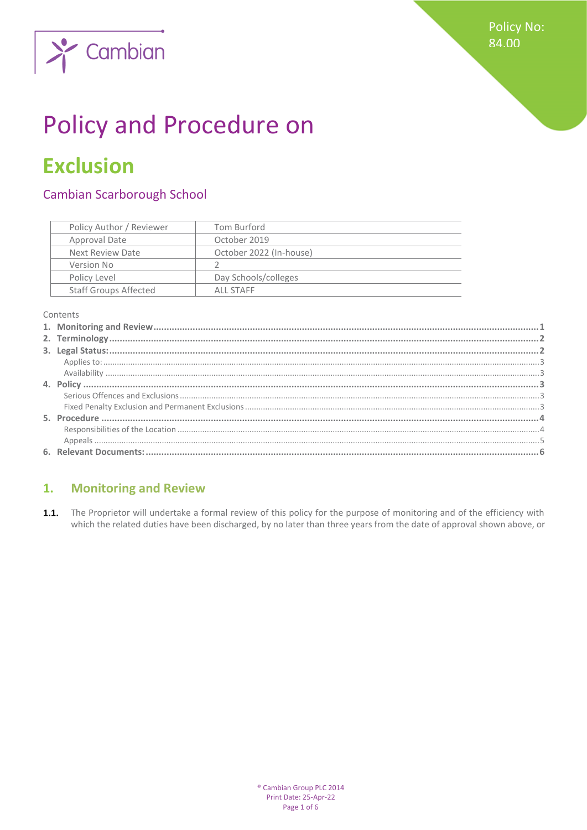

# **Policy and Procedure on**

## **Exclusion**

#### **Cambian Scarborough School**

| Policy Author / Reviewer     | Tom Burford             |
|------------------------------|-------------------------|
| Approval Date                | October 2019            |
| Next Review Date             | October 2022 (In-house) |
| Version No                   |                         |
| Policy Level                 | Day Schools/colleges    |
| <b>Staff Groups Affected</b> | ALL STAFF               |

Contents

#### <span id="page-0-0"></span>**Monitoring and Review**  $1.$

1.1. The Proprietor will undertake a formal review of this policy for the purpose of monitoring and of the efficiency with which the related duties have been discharged, by no later than three years from the date of approval shown above, or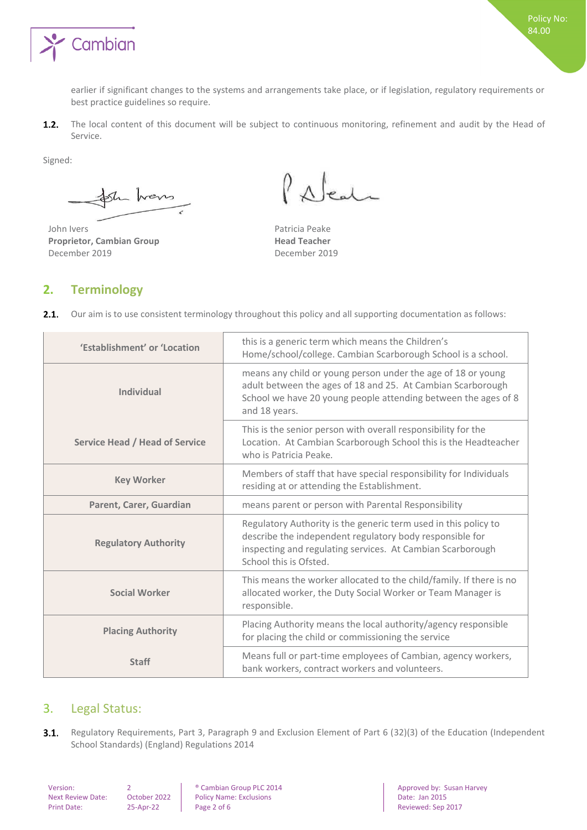

earlier if significant changes to the systems and arrangements take place, or if legislation, regulatory requirements or best practice guidelines so require.

 $1.2.$ The local content of this document will be subject to continuous monitoring, refinement and audit by the Head of Service.

Signed:

Sh hans

John Ivers **Patricia Peake Proprietor, Cambian Group Head Teacher**<br>
December 2019 **December 2019** December 2019

 $\varrho$  $\Lambda$   $\epsilon$ <sup>1</sup>

#### <span id="page-1-0"></span>**2. Terminology**

|  |  | 2.1. Our aim is to use consistent terminology throughout this policy and all supporting documentation as follows: |  |  |  |  |  |
|--|--|-------------------------------------------------------------------------------------------------------------------|--|--|--|--|--|
|--|--|-------------------------------------------------------------------------------------------------------------------|--|--|--|--|--|

| 'Establishment' or 'Location          | this is a generic term which means the Children's<br>Home/school/college. Cambian Scarborough School is a school.                                                                                                   |
|---------------------------------------|---------------------------------------------------------------------------------------------------------------------------------------------------------------------------------------------------------------------|
| <b>Individual</b>                     | means any child or young person under the age of 18 or young<br>adult between the ages of 18 and 25. At Cambian Scarborough<br>School we have 20 young people attending between the ages of 8<br>and 18 years.      |
| <b>Service Head / Head of Service</b> | This is the senior person with overall responsibility for the<br>Location. At Cambian Scarborough School this is the Headteacher<br>who is Patricia Peake.                                                          |
| <b>Key Worker</b>                     | Members of staff that have special responsibility for Individuals<br>residing at or attending the Establishment.                                                                                                    |
| Parent, Carer, Guardian               | means parent or person with Parental Responsibility                                                                                                                                                                 |
| <b>Regulatory Authority</b>           | Regulatory Authority is the generic term used in this policy to<br>describe the independent regulatory body responsible for<br>inspecting and regulating services. At Cambian Scarborough<br>School this is Ofsted. |
| <b>Social Worker</b>                  | This means the worker allocated to the child/family. If there is no<br>allocated worker, the Duty Social Worker or Team Manager is<br>responsible.                                                                  |
| <b>Placing Authority</b>              | Placing Authority means the local authority/agency responsible<br>for placing the child or commissioning the service                                                                                                |
| <b>Staff</b>                          | Means full or part-time employees of Cambian, agency workers,<br>bank workers, contract workers and volunteers.                                                                                                     |

### <span id="page-1-1"></span>3. Legal Status:

 $3.1.$ Regulatory Requirements, Part 3, Paragraph 9 and Exclusion Element of Part 6 (32)(3) of the Education (Independent School Standards) (England) Regulations 2014

Policy Name: Exclusions Print Date: 25-Apr-22 Page 2 of 6 Reviewed: Sep 2017

Version: 2 ® Cambian Group PLC 2014 Approved by: Susan Harvey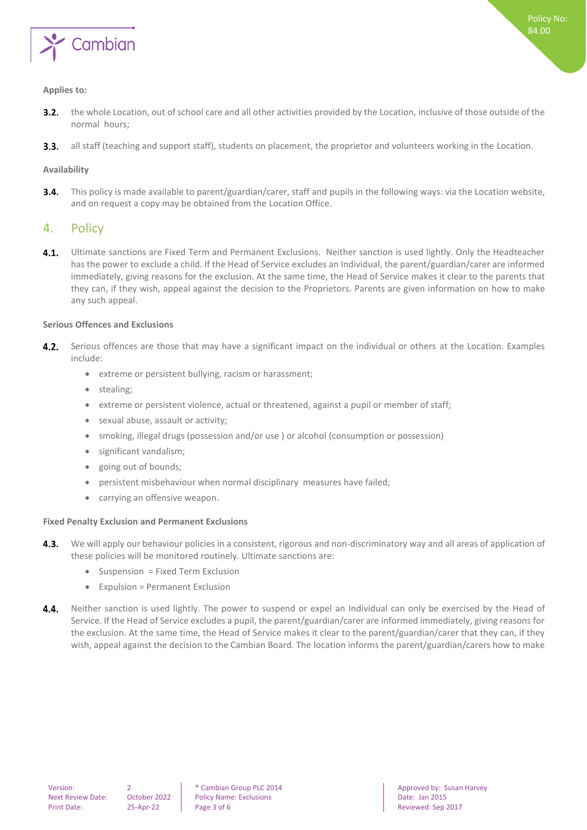

#### <span id="page-2-0"></span>**Applies to:**

- the whole Location, out of school care and all other activities provided by the Location, inclusive of those outside of the  $3.2.$ normal hours;
- all staff (teaching and support staff), students on placement, the proprietor and volunteers working in the Location.  $3.3.$

#### <span id="page-2-1"></span>**Availability**

This policy is made available to parent/guardian/carer, staff and pupils in the following ways: via the Location website,  $3.4.$ and on request a copy may be obtained from the Location Office.

#### <span id="page-2-2"></span>4. Policy

 $4.1.$ Ultimate sanctions are Fixed Term and Permanent Exclusions. Neither sanction is used lightly. Only the Headteacher has the power to exclude a child. If the Head of Service excludes an Individual, the parent/guardian/carer are informed immediately, giving reasons for the exclusion. At the same time, the Head of Service makes it clear to the parents that they can, if they wish, appeal against the decision to the Proprietors. Parents are given information on how to make any such appeal.

#### <span id="page-2-3"></span>**Serious Offences and Exclusions**

- 4.2. Serious offences are those that may have a significant impact on the individual or others at the Location. Examples include:
	- extreme or persistent bullying, racism or harassment;
	- stealing;
	- extreme or persistent violence, actual or threatened, against a pupil or member of staff;
	- sexual abuse, assault or activity;
	- smoking, illegal drugs (possession and/or use ) or alcohol (consumption or possession)
	- significant vandalism;
	- going out of bounds;
	- persistent misbehaviour when normal disciplinary measures have failed;
	- carrying an offensive weapon.

#### <span id="page-2-4"></span>**Fixed Penalty Exclusion and Permanent Exclusions**

- We will apply our behaviour policies in a consistent, rigorous and non-discriminatory way and all areas of application of  $4.3.$ these policies will be monitored routinely. Ultimate sanctions are:
	- Suspension = Fixed Term Exclusion
	- Expulsion = Permanent Exclusion
- Neither sanction is used lightly. The power to suspend or expel an Individual can only be exercised by the Head of 4.4. Service. If the Head of Service excludes a pupil, the parent/guardian/carer are informed immediately, giving reasons for the exclusion. At the same time, the Head of Service makes it clear to the parent/guardian/carer that they can, if they wish, appeal against the decision to the Cambian Board. The location informs the parent/guardian/carers how to make

Next Review Date: October 2022 Policy Name: Exclusions Date: Jan 2015 Print Date: 25-Apr-22 | Page 3 of 6 Reviewed: Sep 2017

Version: 2 **2 8** Cambian Group PLC 2014 **Approved by:** Susan Harvey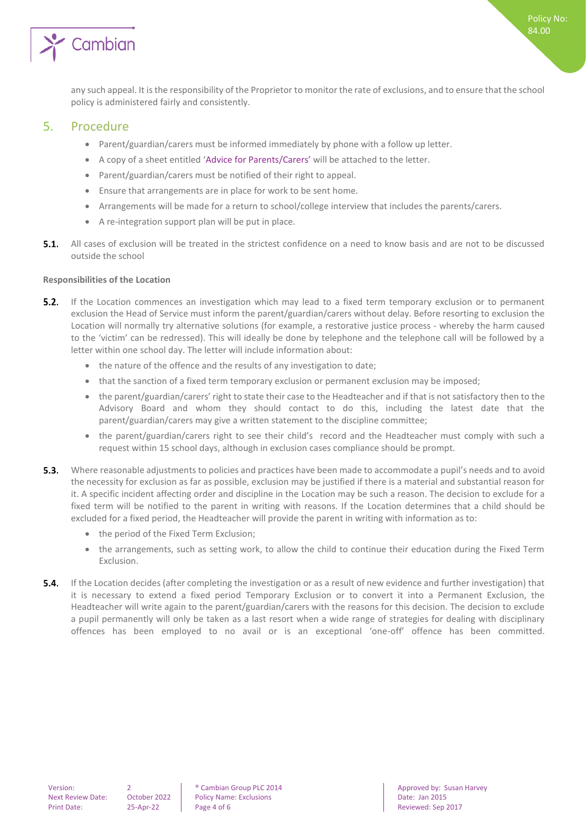

#### <span id="page-3-0"></span>5. Procedure

- Parent/guardian/carers must be informed immediately by phone with a follow up letter.
- A copy of a sheet entitled 'Advice for Parents/Carers' will be attached to the letter.
- Parent/guardian/carers must be notified of their right to appeal.
- Ensure that arrangements are in place for work to be sent home.
- Arrangements will be made for a return to school/college interview that includes the parents/carers.
- A re-integration support plan will be put in place.
- **5.1.** All cases of exclusion will be treated in the strictest confidence on a need to know basis and are not to be discussed outside the school

#### <span id="page-3-1"></span>**Responsibilities of the Location**

- $5.2.$ If the Location commences an investigation which may lead to a fixed term temporary exclusion or to permanent exclusion the Head of Service must inform the parent/guardian/carers without delay. Before resorting to exclusion the Location will normally try alternative solutions (for example, a restorative justice process - whereby the harm caused to the 'victim' can be redressed). This will ideally be done by telephone and the telephone call will be followed by a letter within one school day. The letter will include information about:
	- the nature of the offence and the results of any investigation to date;
	- that the sanction of a fixed term temporary exclusion or permanent exclusion may be imposed;
	- the parent/guardian/carers' right to state their case to the Headteacher and if that is not satisfactory then to the Advisory Board and whom they should contact to do this, including the latest date that the parent/guardian/carers may give a written statement to the discipline committee;
	- the parent/guardian/carers right to see their child's record and the Headteacher must comply with such a request within 15 school days, although in exclusion cases compliance should be prompt.
- **5.3.** Where reasonable adjustments to policies and practices have been made to accommodate a pupil's needs and to avoid the necessity for exclusion as far as possible, exclusion may be justified if there is a material and substantial reason for it. A specific incident affecting order and discipline in the Location may be such a reason. The decision to exclude for a fixed term will be notified to the parent in writing with reasons. If the Location determines that a child should be excluded for a fixed period, the Headteacher will provide the parent in writing with information as to:
	- the period of the Fixed Term Exclusion;
	- the arrangements, such as setting work, to allow the child to continue their education during the Fixed Term Exclusion.
- **5.4.** If the Location decides (after completing the investigation or as a result of new evidence and further investigation) that it is necessary to extend a fixed period Temporary Exclusion or to convert it into a Permanent Exclusion, the Headteacher will write again to the parent/guardian/carers with the reasons for this decision. The decision to exclude a pupil permanently will only be taken as a last resort when a wide range of strategies for dealing with disciplinary offences has been employed to no avail or is an exceptional 'one-off' offence has been committed.

Next Review Date: October 2022 Policy Name: Exclusions Date: Jan 2015 Print Date: 25-Apr-22 | Page 4 of 6 Reviewed: Sep 2017

Version: 2 2 **8 Cambian Group PLC 2014 Approved by: Susan Harvey PLC 2014** Approved by: Susan Harvey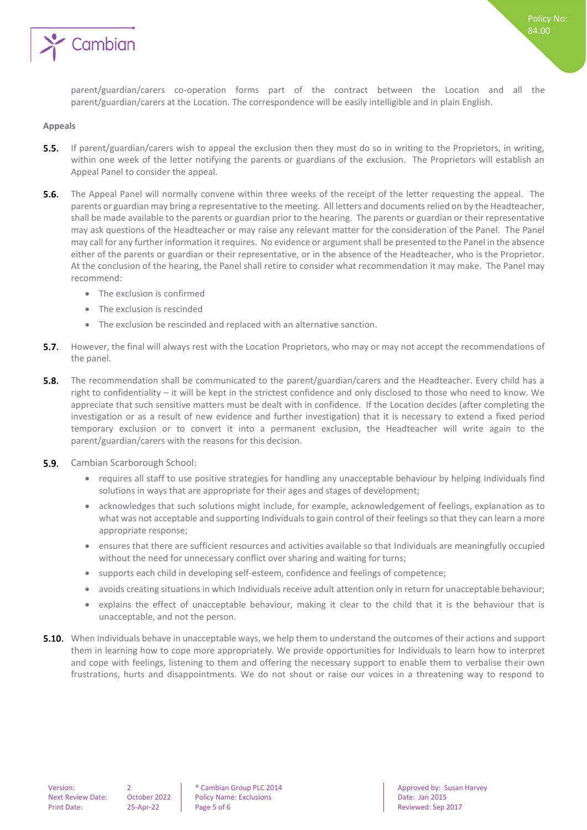

parent/guardian/carers co-operation forms part of the contract between the Location and all the parent/guardian/carers at the Location. The correspondence will be easily intelligible and in plain English.

#### <span id="page-4-0"></span>**Appeals**

- 5.5. If parent/guardian/carers wish to appeal the exclusion then they must do so in writing to the Proprietors, in writing, within one week of the letter notifying the parents or guardians of the exclusion. The Proprietors will establish an Appeal Panel to consider the appeal.
- 5.6. The Appeal Panel will normally convene within three weeks of the receipt of the letter requesting the appeal. The parents or guardian may bring a representative to the meeting. All letters and documents relied on by the Headteacher, shall be made available to the parents or guardian prior to the hearing. The parents or guardian or their representative may ask questions of the Headteacher or may raise any relevant matter for the consideration of the Panel. The Panel may call for any further information it requires. No evidence or argument shall be presented to the Panel in the absence either of the parents or guardian or their representative, or in the absence of the Headteacher, who is the Proprietor. At the conclusion of the hearing, the Panel shall retire to consider what recommendation it may make. The Panel may recommend:
	- The exclusion is confirmed
	- The exclusion is rescinded
	- The exclusion be rescinded and replaced with an alternative sanction.
- 5.7. However, the final will always rest with the Location Proprietors, who may or may not accept the recommendations of the panel.
- $5.8.$ The recommendation shall be communicated to the parent/guardian/carers and the Headteacher. Every child has a right to confidentiality – it will be kept in the strictest confidence and only disclosed to those who need to know. We appreciate that such sensitive matters must be dealt with in confidence. If the Location decides (after completing the investigation or as a result of new evidence and further investigation) that it is necessary to extend a fixed period temporary exclusion or to convert it into a permanent exclusion, the Headteacher will write again to the parent/guardian/carers with the reasons for this decision.
- 5.9. Cambian Scarborough School:
	- requires all staff to use positive strategies for handling any unacceptable behaviour by helping Individuals find solutions in ways that are appropriate for their ages and stages of development;
	- acknowledges that such solutions might include, for example, acknowledgement of feelings, explanation as to what was not acceptable and supporting Individuals to gain control of their feelings so that they can learn a more appropriate response;
	- ensures that there are sufficient resources and activities available so that Individuals are meaningfully occupied without the need for unnecessary conflict over sharing and waiting for turns;
	- supports each child in developing self-esteem, confidence and feelings of competence;
	- avoids creating situations in which Individuals receive adult attention only in return for unacceptable behaviour;
	- explains the effect of unacceptable behaviour, making it clear to the child that it is the behaviour that is unacceptable, and not the person.
- **5.10.** When Individuals behave in unacceptable ways, we help them to understand the outcomes of their actions and support them in learning how to cope more appropriately. We provide opportunities for Individuals to learn how to interpret and cope with feelings, listening to them and offering the necessary support to enable them to verbalise their own frustrations, hurts and disappointments. We do not shout or raise our voices in a threatening way to respond to

Next Review Date: October 2022 Policy Name: Exclusions Date: Jan 2015 Print Date: 25-Apr-22 Page 5 of 6 Reviewed: Sep 2017

Version: 2 2 **8 Cambian Group PLC 2014 Approved by: Susan Harvey PLC 2014** Approved by: Susan Harvey